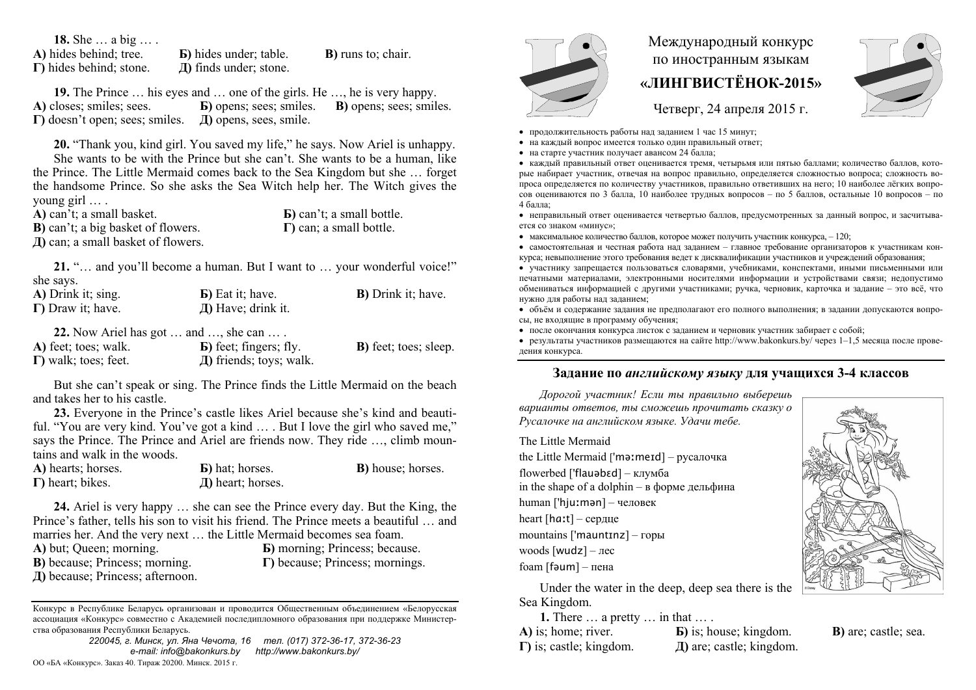**18.** She … a big … .

**A)** hides behind; tree. **Б)** hides under; table. **B)** runs to; chair. **Г)** hides behind; stone. **Д)** finds under; stone.

**19.** The Prince … his eyes and … one of the girls. He …, he is very happy. **A)** closes; smiles; sees. **Б)** opens; sees; smiles. **B)** opens; sees; smiles. **Г)** doesn't open; sees; smiles. **Д)** opens, sees, smile.

**20.** "Thank you, kind girl. You saved my life," he says. Now Ariel is unhappy.

She wants to be with the Prince but she can't. She wants to be a human, like the Prince. The Little Mermaid comes back to the Sea Kingdom but she … forget the handsome Prince. So she asks the Sea Witch help her. The Witch gives the young girl … .

**A)** can't; a small basket. **B)** can't; a big basket of flowers. **Д)** can; a small basket of flowers.

**Б)** can't; a small bottle. **Г)** can; a small bottle.

**21.** "… and you'll become a human. But I want to … your wonderful voice!" she says.

| A) Drink it; sing.           | $\bf{E})$ Eat it; have.                                       | <b>B</b> ) Drink it; have.    |
|------------------------------|---------------------------------------------------------------|-------------------------------|
| $\Gamma$ ) Draw it; have.    | Д) Have; drink it.                                            |                               |
|                              | 22. Now Ariel has got $\dots$ and $\dots$ , she can $\dots$ . |                               |
| A) feet; toes; walk.         | <b>b</b> ) feet; fingers; fly.                                | <b>B</b> ) feet; toes; sleep. |
| $\Gamma$ ) walk; toes; feet. | Д) friends; toys; walk.                                       |                               |

But she can't speak or sing. The Prince finds the Little Mermaid on the beach and takes her to his castle.

**23.** Everyone in the Prince's castle likes Ariel because she's kind and beautiful. "You are very kind. You've got a kind … . But I love the girl who saved me," says the Prince. The Prince and Ariel are friends now. They ride ..., climb mountains and walk in the woods.

| A) hearts; horses.       | <b>b</b> ) hat; horses. | <b>B</b> ) house; horses. |
|--------------------------|-------------------------|---------------------------|
| $\Gamma$ ) heart; bikes. | $\pi$ ) heart; horses.  |                           |

**24.** Ariel is very happy … she can see the Prince every day. But the King, the Prince's father, tells his son to visit his friend. The Prince meets a beautiful ... and marries her. And the very next … the Little Mermaid becomes sea foam. **A)** but; Queen; morning. **Б)** morning; Princess; because.

**B)** because; Princess; morning.

**Д)** because; Princess; afternoon.

**Г)** because; Princess; mornings.

Конкурс <sup>в</sup> Республике Беларусь организован <sup>и</sup> проводится Общественным объединением «Белорусская ассоциация «Конкурс» совместно <sup>с</sup> Академией последипломного образования при поддержке Министерства образования Республики Беларусь.

*220045, <sup>г</sup>. Минск, ул. Яна Чечота, 16 тел. (017) 372-36-17, 372-36-23 e-mail: info@bakonkurs.by http://www.bakonkurs.by/*  ОО «БА «Конкурс». Заказ 40. Тираж 20200. Минск. 2015 <sup>г</sup>.

## Международный конкурс по иностранным языкам **«ЛИНГВИСТЁНОК-2015»**



Четверг, 24 апреля 2015 г.

- продолжительность работы над заданием 1 час 15 минут;
- на каждый вопрос имеется только один правильный ответ;
- на старте участник получает авансом 24 балла;

 каждый правильный ответ оценивается тремя, четырьмя или пятью баллами; количество баллов, которые набирает участник, отвечая на вопрос правильно, определяется сложностью вопроса; сложность вопроса определяется по количеству участников, правильно ответивших на него; 10 наиболее лёгких вопросов оцениваются по 3 балла, 10 наиболее трудных вопросов – по 5 баллов, остальные 10 вопросов – по 4 балла;

 неправильный ответ оценивается четвертью баллов, предусмотренных за данный вопрос, <sup>и</sup> засчитывается со знаком «минус»;

 $\bullet$  максимальное количество баллов, которое может получить участник конкурса,  $-120$ ;

 самостоятельная и честная работа над заданием – главное требование организаторов <sup>к</sup> участникам конкурса; невыполнение этого требования ведет <sup>к</sup> дисквалификации участников <sup>и</sup> учреждений образования;

 участнику запрещается пользоваться словарями, учебниками, конспектами, иными письменными или печатными материалами, электронными носителями информации <sup>и</sup> устройствами связи; недопустимо обмениваться информацией <sup>с</sup> другими участниками; ручка, черновик, карточка <sup>и</sup> задание – это всё, что нужно для работы над заданием;

 объём <sup>и</sup> содержание задания не предполагают его полного выполнения; <sup>в</sup> задании допускаются вопросы, не входящие <sup>в</sup> программу обучения;

после окончания конкурса листок <sup>с</sup> заданием <sup>и</sup> черновик участник забирает <sup>с</sup> собой;

 результаты участников размещаются на сайте http://www.bakonkurs.by/ через 1–1,5 месяца после проведения конкурса.

## **Задание по** *английскому языку* **для учащихся 3-4 классов**

*Дорогой участник! Если ты правильно выберешь варианты ответов, ты сможешь прочитать сказку <sup>о</sup> Русалочке на английском языке. Удачи тебе.* 

The Little Mermaid

the Little Mermaid ['məːmeɪd] – русалочка flowerbed ['flauəbɛd] – клумба in the shape of a dolphin – <sup>в</sup> форме дельфина human ['hjuːmən] – человек heart [hɑː<sup>t</sup>] – сердце mountains ['mauntɪnz] – горы woods [wudz] – лес foam [fəum] – пена

Under the water in the deep, deep sea there is the Sea Kingdom.

**1.** There … a pretty … in that … .

**А)** is; home; river. **Г)** is; castle; kingdom. **Б)** is; house; kingdom. **Д)** are; castle; kingdom.



**В)** are; castle; sea.